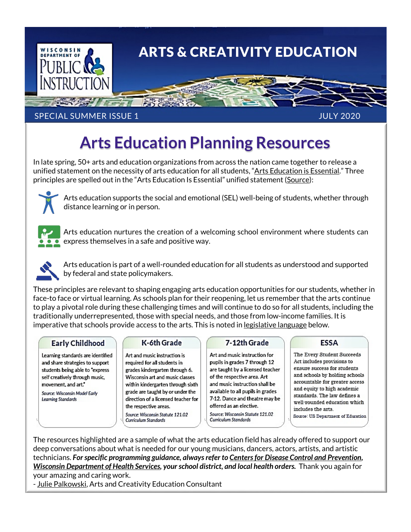

## SPECIAL SUMMER ISSUE 1 JULY 2020

# **Arts Education Planning Resources**

In late spring, 50+ arts and education organizations from across the nation came together to release a unified statement on the necessity of arts education for all students, ["Arts Education is Essential."](https://nafme.org/wp-content/files/2020/05/Arts_Education_Is_Essential-unified-statement.pdf) Three principles are spelled out in the "Arts Education Is Essential" unified statement [\(Source\)](https://sites.google.com/seadae.org/seadae/home/news/unified-statement):



Arts education supports the social and emotional (SEL) well-being of students, whether through distance learning or in person.



Arts education nurtures the creation of a welcoming school environment where students can express themselves in a safe and positive way.



Arts education is part of a well-rounded education for all students as understood and supported by federal and state policymakers.

These principles are relevant to shaping engaging arts education opportunities for our students, whether in face-to face or virtual learning. As schools plan for their reopening, let us remember that the arts continue to play a pivotal role during these challenging times and will continue to do so for all students, including the traditionally underrepresented, those with special needs, and those from low-income families. It is imperative that schools provide access to the arts. This is noted in <u>legislative language</u> below.

### **Early Childhood**

Learning standards are identified and share strategies to support students being able to "express self creatively through music, movement, and art."

Source: Wisconsin Model Early **Learning Standards** 

### K-6th Grade

Art and music instruction is required for all students in grades kindergarten through 6. Wisconsin art and music classes within kindergarten through sixth grade are taught by or under the direction of a licensed teacher for the respective areas.

Source: Wisconsin Statute 121.02 Curriculum Standards

#### 7-12th Grade

Art and music instruction for pupils in grades 7 through 12 are taught by a licensed teacher of the respective area. Art and music instruction shall be available to all pupils in grades 7-12. Dance and theatre may be offered as an elective. Source: Wisconsin Statute 121.02 **Curriculum Standards** 

### **ESSA**

The Every Student Succeeds Act includes provisions to ensure success for students and schools by holding schools accountable for greater access and equity to high academic standards. The law defines a well-rounded education which includes the arts. Source: US Department of Education

The resources highlighted are a sample of what the arts education field has already offered to support our deep conversations about what is needed for our young musicians, dancers, actors, artists, and artistic technicians. *For specific programming guidance, always refer t[o Centers for Disease Control and Prevention,](https://www.cdc.gov/coronavirus/2019-ncov/community/schools-childcare/schools.html) [Wisconsin Department of Health Services,](https://www.dhs.wisconsin.gov/covid-19/schools.htm) your school district, and local health orders.* Thank you again for your amazing and caring work.

- [Julie Palkowski,](mailto:julie.palkowski@dpi.wi.gov) Arts and Creativity Education Consultant